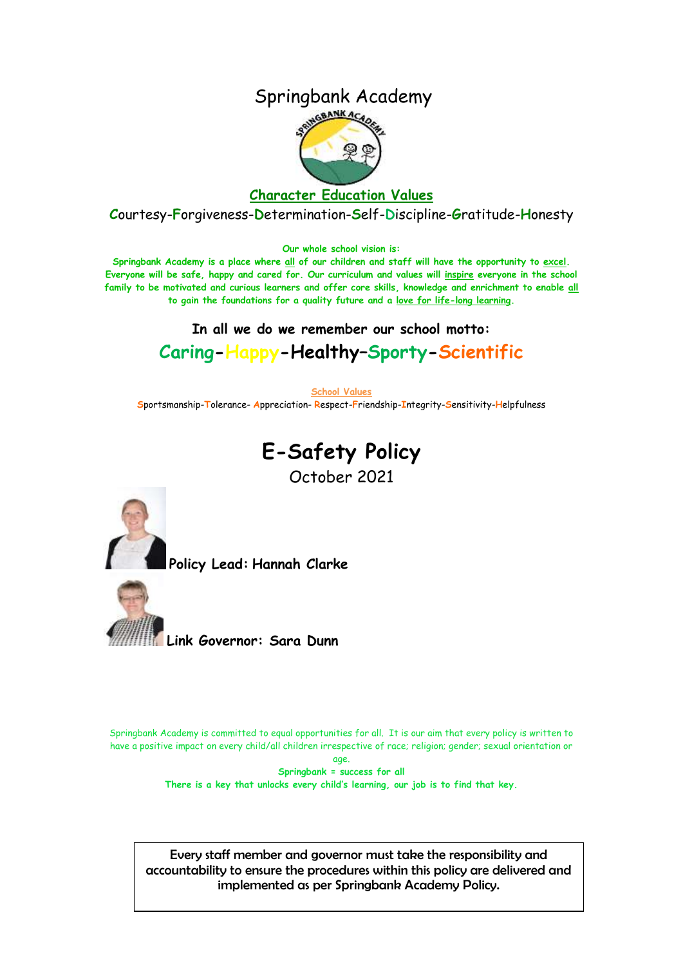## Springbank Academy



#### **Character Education Values**

**C**ourtesy-**F**orgiveness-**D**etermination-**S**elf-**D**iscipline-**G**ratitude-**H**onesty

**Our whole school vision is:**

**Springbank Academy is a place where all of our children and staff will have the opportunity to excel. Everyone will be safe, happy and cared for. Our curriculum and values will inspire everyone in the school family to be motivated and curious learners and offer core skills, knowledge and enrichment to enable all to gain the foundations for a quality future and a love for life-long learning.**

# **In all we do we remember our school motto: Caring-Happy-Healthy–Sporty-Scientific**

**School Values S**portsmanship-**T**olerance- **A**ppreciation- **R**espect-**F**riendship-**I**ntegrity-**S**ensitivity-**H**elpfulness

# **E-Safety Policy**

October 2021



**Policy Lead: Hannah Clarke**



Springbank Academy is committed to equal opportunities for all. It is our aim that every policy is written to have a positive impact on every child/all children irrespective of race; religion; gender; sexual orientation or

> age. **Springbank = success for all There is a key that unlocks every child's learning, our job is to find that key.**

Every staff member and governor must take the responsibility and accountability to ensure the procedures within this policy are delivered and implemented as per Springbank Academy Policy.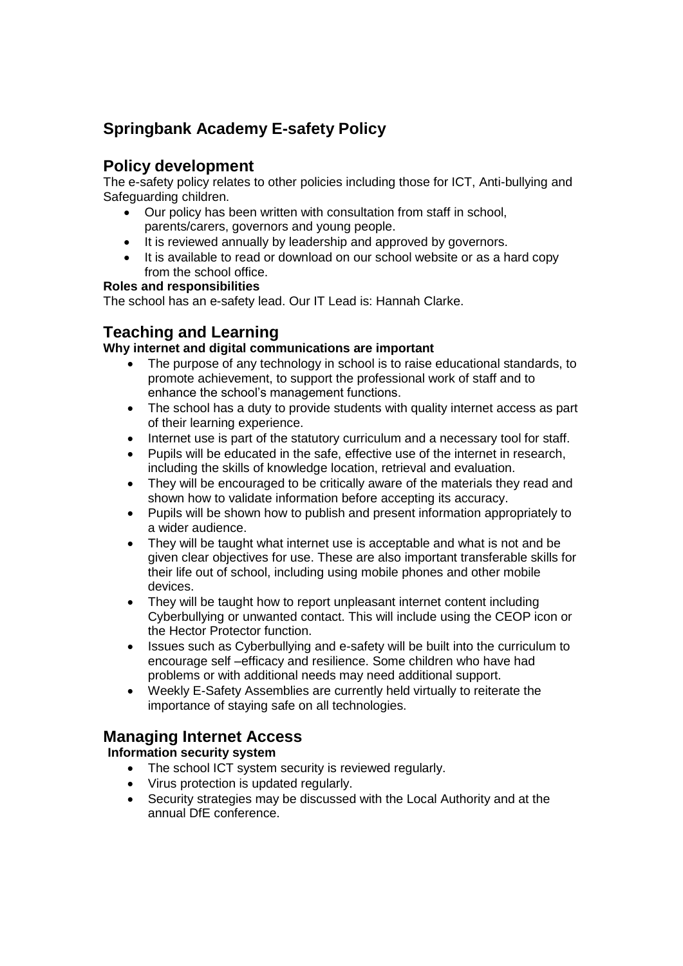# **Springbank Academy E-safety Policy**

## **Policy development**

The e-safety policy relates to other policies including those for ICT, Anti-bullying and Safeguarding children.

- Our policy has been written with consultation from staff in school, parents/carers, governors and young people.
- It is reviewed annually by leadership and approved by governors.
- It is available to read or download on our school website or as a hard copy from the school office.

#### **Roles and responsibilities**

The school has an e-safety lead. Our IT Lead is: Hannah Clarke.

## **Teaching and Learning**

#### **Why internet and digital communications are important**

- The purpose of any technology in school is to raise educational standards, to promote achievement, to support the professional work of staff and to enhance the school's management functions.
- The school has a duty to provide students with quality internet access as part of their learning experience.
- Internet use is part of the statutory curriculum and a necessary tool for staff.
- Pupils will be educated in the safe, effective use of the internet in research, including the skills of knowledge location, retrieval and evaluation.
- They will be encouraged to be critically aware of the materials they read and shown how to validate information before accepting its accuracy.
- Pupils will be shown how to publish and present information appropriately to a wider audience.
- They will be taught what internet use is acceptable and what is not and be given clear objectives for use. These are also important transferable skills for their life out of school, including using mobile phones and other mobile devices.
- They will be taught how to report unpleasant internet content including Cyberbullying or unwanted contact. This will include using the CEOP icon or the Hector Protector function.
- Issues such as Cyberbullying and e-safety will be built into the curriculum to encourage self –efficacy and resilience. Some children who have had problems or with additional needs may need additional support.
- Weekly E-Safety Assemblies are currently held virtually to reiterate the importance of staying safe on all technologies.

## **Managing Internet Access**

#### **Information security system**

- The school ICT system security is reviewed regularly.
- Virus protection is updated regularly.
- Security strategies may be discussed with the Local Authority and at the annual DfE conference.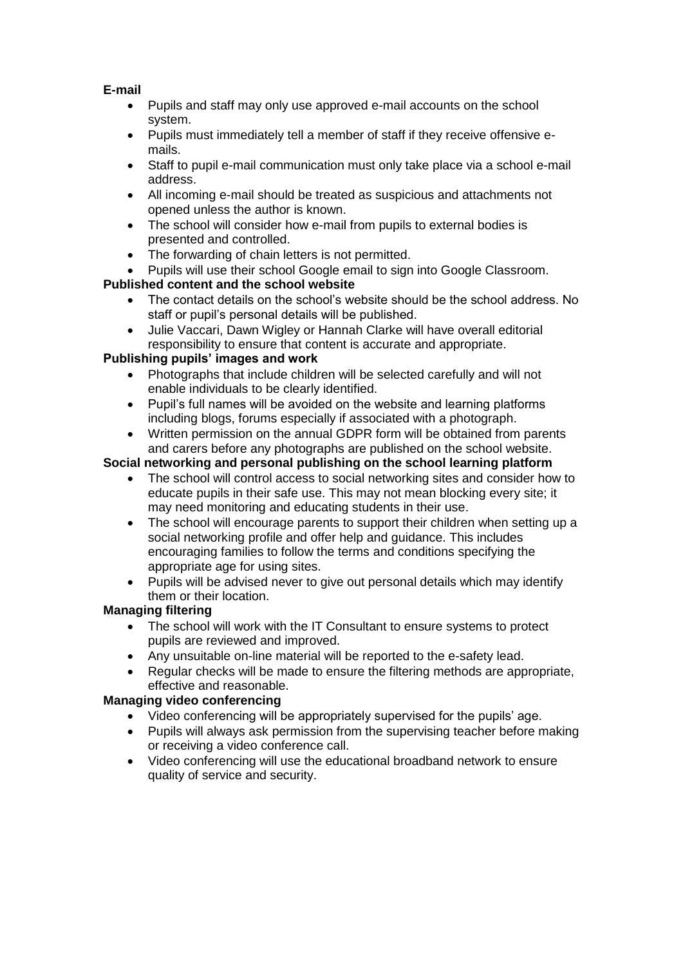#### **E-mail**

- Pupils and staff may only use approved e-mail accounts on the school system.
- Pupils must immediately tell a member of staff if they receive offensive emails.
- Staff to pupil e-mail communication must only take place via a school e-mail address.
- All incoming e-mail should be treated as suspicious and attachments not opened unless the author is known.
- The school will consider how e-mail from pupils to external bodies is presented and controlled.
- The forwarding of chain letters is not permitted.
- Pupils will use their school Google email to sign into Google Classroom.

## **Published content and the school website**

- The contact details on the school's website should be the school address. No staff or pupil's personal details will be published.
- Julie Vaccari, Dawn Wigley or Hannah Clarke will have overall editorial responsibility to ensure that content is accurate and appropriate.

#### **Publishing pupils' images and work**

- Photographs that include children will be selected carefully and will not enable individuals to be clearly identified.
- Pupil's full names will be avoided on the website and learning platforms including blogs, forums especially if associated with a photograph.
- Written permission on the annual GDPR form will be obtained from parents and carers before any photographs are published on the school website.

## **Social networking and personal publishing on the school learning platform**

- The school will control access to social networking sites and consider how to educate pupils in their safe use. This may not mean blocking every site; it may need monitoring and educating students in their use.
- The school will encourage parents to support their children when setting up a social networking profile and offer help and guidance. This includes encouraging families to follow the terms and conditions specifying the appropriate age for using sites.
- Pupils will be advised never to give out personal details which may identify them or their location.

## **Managing filtering**

- The school will work with the IT Consultant to ensure systems to protect pupils are reviewed and improved.
- Any unsuitable on-line material will be reported to the e-safety lead.
- Regular checks will be made to ensure the filtering methods are appropriate, effective and reasonable.

## **Managing video conferencing**

- Video conferencing will be appropriately supervised for the pupils' age.
- Pupils will always ask permission from the supervising teacher before making or receiving a video conference call.
- Video conferencing will use the educational broadband network to ensure quality of service and security.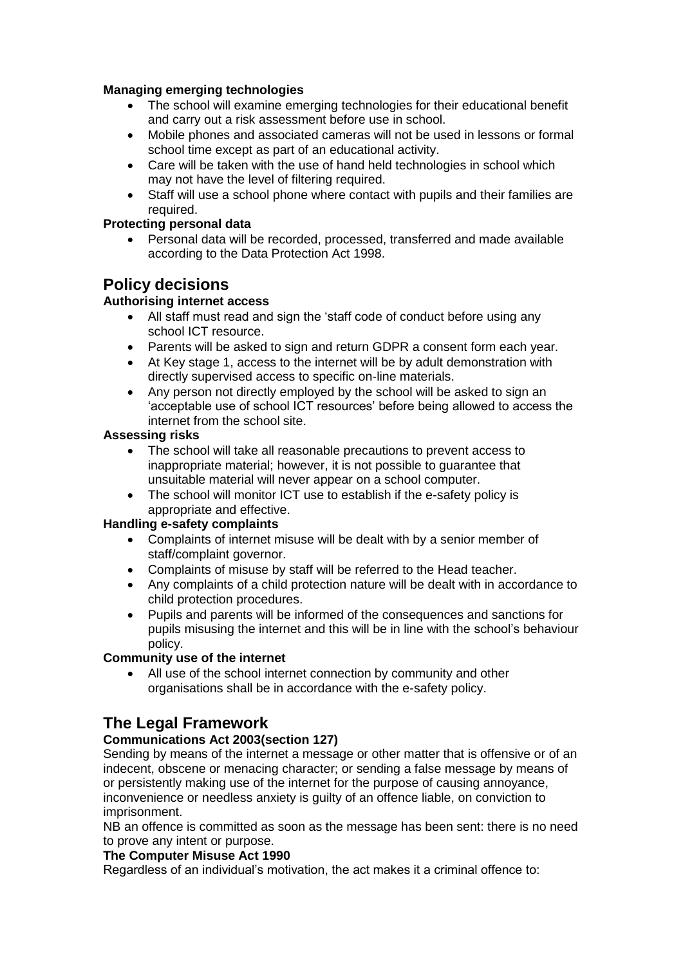#### **Managing emerging technologies**

- The school will examine emerging technologies for their educational benefit and carry out a risk assessment before use in school.
- Mobile phones and associated cameras will not be used in lessons or formal school time except as part of an educational activity.
- Care will be taken with the use of hand held technologies in school which may not have the level of filtering required.
- Staff will use a school phone where contact with pupils and their families are required.

#### **Protecting personal data**

 Personal data will be recorded, processed, transferred and made available according to the Data Protection Act 1998.

## **Policy decisions**

#### **Authorising internet access**

- All staff must read and sign the 'staff code of conduct before using any school ICT resource.
- Parents will be asked to sign and return GDPR a consent form each year.
- At Key stage 1, access to the internet will be by adult demonstration with directly supervised access to specific on-line materials.
- Any person not directly employed by the school will be asked to sign an 'acceptable use of school ICT resources' before being allowed to access the internet from the school site.

#### **Assessing risks**

- The school will take all reasonable precautions to prevent access to inappropriate material; however, it is not possible to guarantee that unsuitable material will never appear on a school computer.
- The school will monitor ICT use to establish if the e-safety policy is appropriate and effective.

#### **Handling e-safety complaints**

- Complaints of internet misuse will be dealt with by a senior member of staff/complaint governor.
- Complaints of misuse by staff will be referred to the Head teacher.
- Any complaints of a child protection nature will be dealt with in accordance to child protection procedures.
- Pupils and parents will be informed of the consequences and sanctions for pupils misusing the internet and this will be in line with the school's behaviour policy.

#### **Community use of the internet**

 All use of the school internet connection by community and other organisations shall be in accordance with the e-safety policy.

## **The Legal Framework**

#### **Communications Act 2003(section 127)**

Sending by means of the internet a message or other matter that is offensive or of an indecent, obscene or menacing character; or sending a false message by means of or persistently making use of the internet for the purpose of causing annoyance, inconvenience or needless anxiety is guilty of an offence liable, on conviction to imprisonment.

NB an offence is committed as soon as the message has been sent: there is no need to prove any intent or purpose.

#### **The Computer Misuse Act 1990**

Regardless of an individual's motivation, the act makes it a criminal offence to: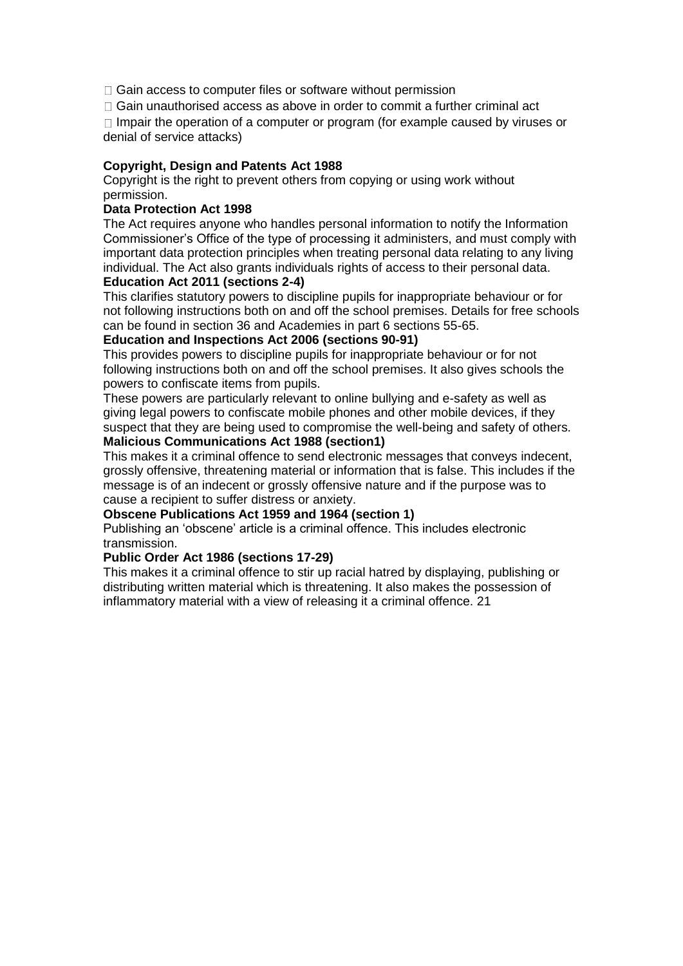$\Box$  Gain access to computer files or software without permission

 $\Box$  Gain unauthorised access as above in order to commit a further criminal act

 $\Box$  Impair the operation of a computer or program (for example caused by viruses or denial of service attacks)

#### **Copyright, Design and Patents Act 1988**

Copyright is the right to prevent others from copying or using work without permission.

#### **Data Protection Act 1998**

The Act requires anyone who handles personal information to notify the Information Commissioner's Office of the type of processing it administers, and must comply with important data protection principles when treating personal data relating to any living individual. The Act also grants individuals rights of access to their personal data.

#### **Education Act 2011 (sections 2-4)**

This clarifies statutory powers to discipline pupils for inappropriate behaviour or for not following instructions both on and off the school premises. Details for free schools can be found in section 36 and Academies in part 6 sections 55-65.

#### **Education and Inspections Act 2006 (sections 90-91)**

This provides powers to discipline pupils for inappropriate behaviour or for not following instructions both on and off the school premises. It also gives schools the powers to confiscate items from pupils.

These powers are particularly relevant to online bullying and e-safety as well as giving legal powers to confiscate mobile phones and other mobile devices, if they suspect that they are being used to compromise the well-being and safety of others. **Malicious Communications Act 1988 (section1)** 

This makes it a criminal offence to send electronic messages that conveys indecent, grossly offensive, threatening material or information that is false. This includes if the message is of an indecent or grossly offensive nature and if the purpose was to cause a recipient to suffer distress or anxiety.

#### **Obscene Publications Act 1959 and 1964 (section 1)**

Publishing an 'obscene' article is a criminal offence. This includes electronic transmission.

#### **Public Order Act 1986 (sections 17-29)**

This makes it a criminal offence to stir up racial hatred by displaying, publishing or distributing written material which is threatening. It also makes the possession of inflammatory material with a view of releasing it a criminal offence. 21